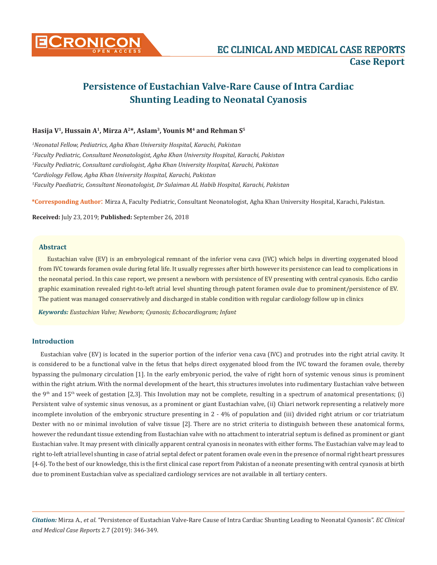

# **Persistence of Eustachian Valve-Rare Cause of Intra Cardiac Shunting Leading to Neonatal Cyanosis**

# **Hasija V1, Hussain A1, Mirza A2\*, Aslam3, Younis M4 and Rehman S5**

 *Neonatal Fellow, Pediatrics, Agha Khan University Hospital, Karachi, Pakistan Faculty Pediatric, Consultant Neonatologist, Agha Khan University Hospital, Karachi, Pakistan Faculty Pediatric, Consultant cardiologist, Agha Khan University Hospital, Karachi, Pakistan Cardiology Fellow, Agha Khan University Hospital, Karachi, Pakistan Faculty Paediatric, Consultant Neonatologist, Dr Sulaiman AL Habib Hospital, Karachi, Pakistan*

**\*Corresponding Author**: Mirza A, Faculty Pediatric, Consultant Neonatologist, Agha Khan University Hospital, Karachi, Pakistan.

**Received:** July 23, 2019; **Published:** September 26, 2018

# **Abstract**

Eustachian valve (EV) is an embryological remnant of the inferior vena cava (IVC) which helps in diverting oxygenated blood from IVC towards foramen ovale during fetal life. It usually regresses after birth however its persistence can lead to complications in the neonatal period. In this case report, we present a newborn with persistence of EV presenting with central cyanosis. Echo cardio graphic examination revealed right-to-left atrial level shunting through patent foramen ovale due to prominent/persistence of EV. The patient was managed conservatively and discharged in stable condition with regular cardiology follow up in clinics

*Keywords: Eustachian Valve; Newborn; Cyanosis; Echocardiogram; Infant*

# **Introduction**

Eustachian valve (EV) is located in the superior portion of the inferior vena cava (IVC) and protrudes into the right atrial cavity. It is considered to be a functional valve in the fetus that helps direct oxygenated blood from the IVC toward the foramen ovale, thereby bypassing the pulmonary circulation [1]. In the early embryonic period, the valve of right horn of systemic venous sinus is prominent within the right atrium. With the normal development of the heart, this structures involutes into rudimentary Eustachian valve between the 9<sup>th</sup> and 15<sup>th</sup> week of gestation [2,3]. This Involution may not be complete, resulting in a spectrum of anatomical presentations; (i) Persistent valve of systemic sinus venosus, as a prominent or giant Eustachian valve, (ii) Chiari network representing a relatively more incomplete involution of the embryonic structure presenting in 2 - 4% of population and (iii) divided right atrium or cor triatriatum Dexter with no or minimal involution of valve tissue [2]. There are no strict criteria to distinguish between these anatomical forms, however the redundant tissue extending from Eustachian valve with no attachment to interatrial septum is defined as prominent or giant Eustachian valve. It may present with clinically apparent central cyanosis in neonates with either forms. The Eustachian valve may lead to right to-left atrial level shunting in case of atrial septal defect or patent foramen ovale even in the presence of normal right heart pressures [4-6]. To the best of our knowledge, this is the first clinical case report from Pakistan of a neonate presenting with central cyanosis at birth due to prominent Eustachian valve as specialized cardiology services are not available in all tertiary centers.

*Citation:* Mirza A., *et al*. "Persistence of Eustachian Valve-Rare Cause of Intra Cardiac Shunting Leading to Neonatal Cyanosis". *EC Clinical and Medical Case Reports* 2.7 (2019): 346-349.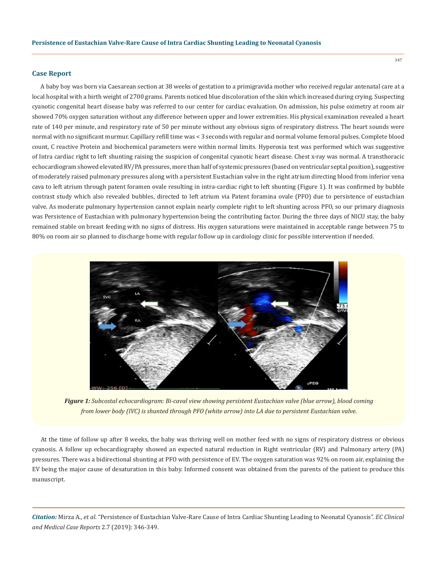### **Case Report**

A baby boy was born via Caesarean section at 38 weeks of gestation to a primigravida mother who received regular antenatal care at a local hospital with a birth weight of 2700 grams. Parents noticed blue discoloration of the skin which increased during crying. Suspecting cyanotic congenital heart disease baby was referred to our center for cardiac evaluation. On admission, his pulse oximetry at room air showed 70% oxygen saturation without any difference between upper and lower extremities. His physical examination revealed a heart rate of 140 per minute, and respiratory rate of 50 per minute without any obvious signs of respiratory distress. The heart sounds were normal with no significant murmur. Capillary refill time was < 3 seconds with regular and normal volume femoral pulses. Complete blood count, C reactive Protein and biochemical parameters were within normal limits. Hyperoxia test was performed which was suggestive of Intra cardiac right to left shunting raising the suspicion of congenital cyanotic heart disease. Chest x-ray was normal. A transthoracic echocardiogram showed elevated RV/PA pressures, more than half of systemic pressures (based on ventricular septal position), suggestive of moderately raised pulmonary pressures along with a persistent Eustachian valve in the right atrium directing blood from inferior vena cava to left atrium through patent foramen ovale resulting in intra-cardiac right to left shunting (Figure 1). It was confirmed by bubble contrast study which also revealed bubbles, directed to left atrium via Patent foramina ovale (PFO) due to persistence of eustachian valve. As moderate pulmonary hypertension cannot explain nearly complete right to left shunting across PFO, so our primary diagnosis was Persistence of Eustachian with pulmonary hypertension being the contributing factor. During the three days of NICU stay, the baby remained stable on breast feeding with no signs of distress. His oxygen saturations were maintained in acceptable range between 75 to 80% on room air so planned to discharge home with regular follow up in cardiology clinic for possible intervention if needed.



*Figure 1: Subcostal echocardiogram: Bi-caval view showing persistent Eustachian valve (blue arrow), blood coming from lower body (IVC) is shunted through PFO (white arrow) into LA due to persistent Eustachian valve.*

At the time of follow up after 8 weeks, the baby was thriving well on mother feed with no signs of respiratory distress or obvious cyanosis. A follow up echocardiography showed an expected natural reduction in Right ventricular (RV) and Pulmonary artery (PA) pressures. There was a bidirectional shunting at PFO with persistence of EV. The oxygen saturation was 92% on room air, explaining the EV being the major cause of desaturation in this baby. Informed consent was obtained from the parents of the patient to produce this manuscript.

*Citation:* Mirza A., *et al*. "Persistence of Eustachian Valve-Rare Cause of Intra Cardiac Shunting Leading to Neonatal Cyanosis". *EC Clinical and Medical Case Reports* 2.7 (2019): 346-349.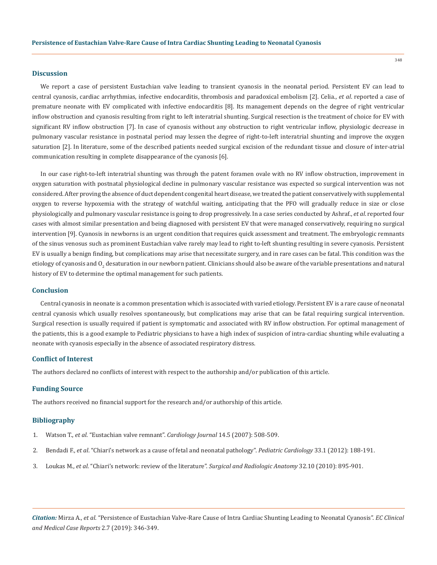## **Discussion**

We report a case of persistent Eustachian valve leading to transient cyanosis in the neonatal period. Persistent EV can lead to central cyanosis, cardiac arrhythmias, infective endocarditis, thrombosis and paradoxical embolism [2]. Celia., *et al*. reported a case of premature neonate with EV complicated with infective endocarditis [8]. Its management depends on the degree of right ventricular inflow obstruction and cyanosis resulting from right to left interatrial shunting. Surgical resection is the treatment of choice for EV with significant RV inflow obstruction [7]. In case of cyanosis without any obstruction to right ventricular inflow, physiologic decrease in pulmonary vascular resistance in postnatal period may lessen the degree of right-to-left interatrial shunting and improve the oxygen saturation [2]. In literature, some of the described patients needed surgical excision of the redundant tissue and closure of inter-atrial communication resulting in complete disappearance of the cyanosis [6].

In our case right-to-left interatrial shunting was through the patent foramen ovale with no RV inflow obstruction, improvement in oxygen saturation with postnatal physiological decline in pulmonary vascular resistance was expected so surgical intervention was not considered. After proving the absence of duct dependent congenital heart disease, we treated the patient conservatively with supplemental oxygen to reverse hypoxemia with the strategy of watchful waiting, anticipating that the PFO will gradually reduce in size or close physiologically and pulmonary vascular resistance is going to drop progressively. In a case series conducted by Ashraf., *et al*. reported four cases with almost similar presentation and being diagnosed with persistent EV that were managed conservatively, requiring no surgical intervention [9]. Cyanosis in newborns is an urgent condition that requires quick assessment and treatment. The embryologic remnants of the sinus venosus such as prominent Eustachian valve rarely may lead to right to-left shunting resulting in severe cyanosis. Persistent EV is usually a benign finding, but complications may arise that necessitate surgery, and in rare cases can be fatal. This condition was the etiology of cyanosis and O<sub>2</sub> desaturation in our newborn patient. Clinicians should also be aware of the variable presentations and natural history of EV to determine the optimal management for such patients.

# **Conclusion**

Central cyanosis in neonate is a common presentation which is associated with varied etiology. Persistent EV is a rare cause of neonatal central cyanosis which usually resolves spontaneously, but complications may arise that can be fatal requiring surgical intervention. Surgical resection is usually required if patient is symptomatic and associated with RV inflow obstruction. For optimal management of the patients, this is a good example to Pediatric physicians to have a high index of suspicion of intra-cardiac shunting while evaluating a neonate with cyanosis especially in the absence of associated respiratory distress.

#### **Conflict of Interest**

The authors declared no conflicts of interest with respect to the authorship and/or publication of this article.

### **Funding Source**

The authors received no financial support for the research and/or authorship of this article.

## **Bibliography**

- 1. Watson T., *et al*[. "Eustachian valve remnant".](https://pdfs.semanticscholar.org/b6d0/fff01be3f99a4fdfa3baaf914da0b1f1838e.pdf) *Cardiology Journal* 14.5 (2007): 508-509.
- 2. Bendadi F., *et al*[. "Chiari's network as a cause of fetal and neonatal pathology".](https://www.ncbi.nlm.nih.gov/pubmed/21909773) *Pediatric Cardiology* 33.1 (2012): 188-191.
- 3. Loukas M., *et al*[. "Chiari's network: review of the literature".](https://www.ncbi.nlm.nih.gov/pubmed/20198476) *Surgical and Radiologic Anatomy* 32.10 (2010): 895-901.